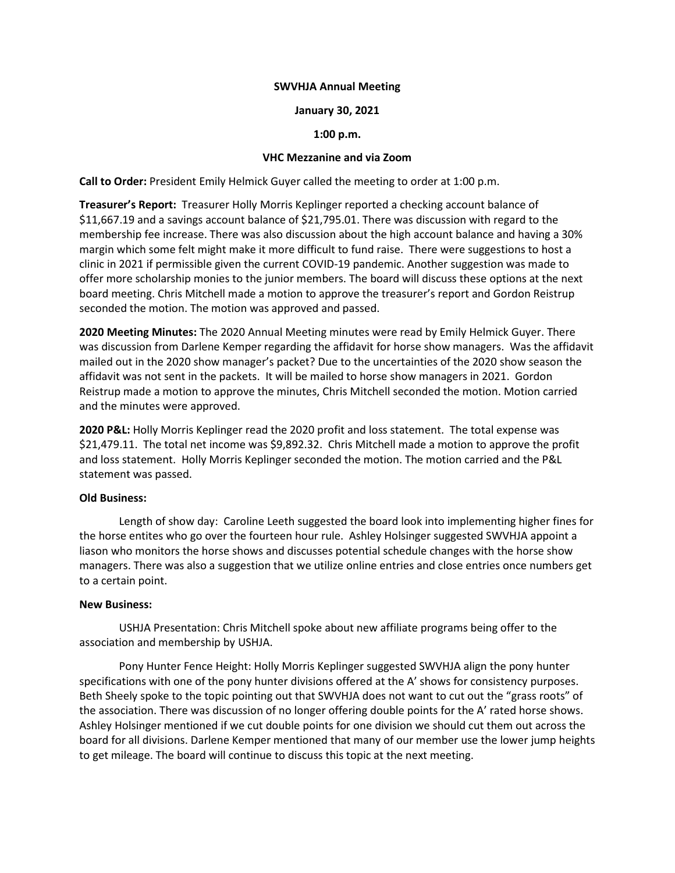### SWVHJA Annual Meeting

### January 30, 2021

# 1:00 p.m.

# VHC Mezzanine and via Zoom

Call to Order: President Emily Helmick Guyer called the meeting to order at 1:00 p.m.

Treasurer's Report: Treasurer Holly Morris Keplinger reported a checking account balance of \$11,667.19 and a savings account balance of \$21,795.01. There was discussion with regard to the membership fee increase. There was also discussion about the high account balance and having a 30% margin which some felt might make it more difficult to fund raise. There were suggestions to host a clinic in 2021 if permissible given the current COVID-19 pandemic. Another suggestion was made to offer more scholarship monies to the junior members. The board will discuss these options at the next board meeting. Chris Mitchell made a motion to approve the treasurer's report and Gordon Reistrup seconded the motion. The motion was approved and passed.

2020 Meeting Minutes: The 2020 Annual Meeting minutes were read by Emily Helmick Guyer. There was discussion from Darlene Kemper regarding the affidavit for horse show managers. Was the affidavit mailed out in the 2020 show manager's packet? Due to the uncertainties of the 2020 show season the affidavit was not sent in the packets. It will be mailed to horse show managers in 2021. Gordon Reistrup made a motion to approve the minutes, Chris Mitchell seconded the motion. Motion carried and the minutes were approved.

2020 P&L: Holly Morris Keplinger read the 2020 profit and loss statement. The total expense was \$21,479.11. The total net income was \$9,892.32. Chris Mitchell made a motion to approve the profit and loss statement. Holly Morris Keplinger seconded the motion. The motion carried and the P&L statement was passed.

# Old Business:

Length of show day: Caroline Leeth suggested the board look into implementing higher fines for the horse entites who go over the fourteen hour rule. Ashley Holsinger suggested SWVHJA appoint a liason who monitors the horse shows and discusses potential schedule changes with the horse show managers. There was also a suggestion that we utilize online entries and close entries once numbers get to a certain point.

#### New Business:

 USHJA Presentation: Chris Mitchell spoke about new affiliate programs being offer to the association and membership by USHJA.

 Pony Hunter Fence Height: Holly Morris Keplinger suggested SWVHJA align the pony hunter specifications with one of the pony hunter divisions offered at the A' shows for consistency purposes. Beth Sheely spoke to the topic pointing out that SWVHJA does not want to cut out the "grass roots" of the association. There was discussion of no longer offering double points for the A' rated horse shows. Ashley Holsinger mentioned if we cut double points for one division we should cut them out across the board for all divisions. Darlene Kemper mentioned that many of our member use the lower jump heights to get mileage. The board will continue to discuss this topic at the next meeting.